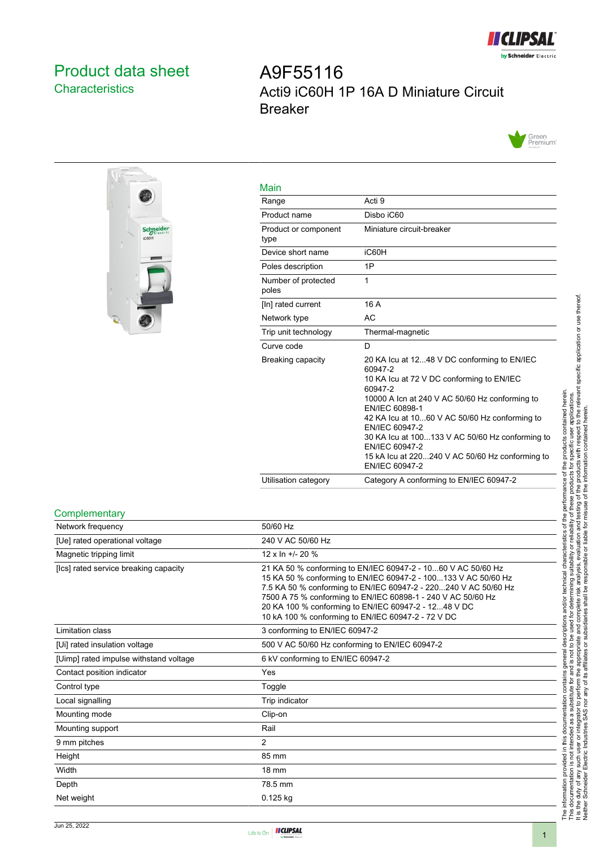

## <span id="page-0-0"></span>Product data sheet **Characteristics**

# A9F55116 Acti9 iC60H 1P 16A D Miniature Circuit Breaker





| Main                         |                                                                                                                                                                                                                                                                                                                                                                                                 |
|------------------------------|-------------------------------------------------------------------------------------------------------------------------------------------------------------------------------------------------------------------------------------------------------------------------------------------------------------------------------------------------------------------------------------------------|
| Range                        | Acti 9                                                                                                                                                                                                                                                                                                                                                                                          |
| Product name                 | Disbo iC60                                                                                                                                                                                                                                                                                                                                                                                      |
| Product or component<br>type | Miniature circuit-breaker                                                                                                                                                                                                                                                                                                                                                                       |
| Device short name            | iC60H                                                                                                                                                                                                                                                                                                                                                                                           |
| Poles description            | 1P                                                                                                                                                                                                                                                                                                                                                                                              |
| Number of protected<br>poles | 1                                                                                                                                                                                                                                                                                                                                                                                               |
| [In] rated current           | 16 A                                                                                                                                                                                                                                                                                                                                                                                            |
| Network type                 | AC                                                                                                                                                                                                                                                                                                                                                                                              |
| Trip unit technology         | Thermal-magnetic                                                                                                                                                                                                                                                                                                                                                                                |
| Curve code                   | D                                                                                                                                                                                                                                                                                                                                                                                               |
| Breaking capacity            | 20 KA Icu at 1248 V DC conforming to EN/IEC<br>60947-2<br>10 KA Icu at 72 V DC conforming to EN/IEC<br>60947-2<br>10000 A Icn at 240 V AC 50/60 Hz conforming to<br>EN/IEC 60898-1<br>42 KA Icu at 1060 V AC 50/60 Hz conforming to<br>EN/IEC 60947-2<br>30 KA lcu at 100133 V AC 50/60 Hz conforming to<br>EN/IEC 60947-2<br>15 kA Icu at 220240 V AC 50/60 Hz conforming to<br>EN/IEC 60947-2 |
| Utilisation category         | Category A conforming to EN/IEC 60947-2                                                                                                                                                                                                                                                                                                                                                         |

#### **Complementary**

| Network frequency                      | 50/60 Hz                                                                                                                                                                                                                                                                                                                                                                        |
|----------------------------------------|---------------------------------------------------------------------------------------------------------------------------------------------------------------------------------------------------------------------------------------------------------------------------------------------------------------------------------------------------------------------------------|
| [Ue] rated operational voltage         | 240 V AC 50/60 Hz                                                                                                                                                                                                                                                                                                                                                               |
| Magnetic tripping limit                | $12 \times \ln +120 \%$                                                                                                                                                                                                                                                                                                                                                         |
| [Ics] rated service breaking capacity  | 21 KA 50 % conforming to EN/IEC 60947-2 - 1060 V AC 50/60 Hz<br>15 KA 50 % conforming to EN/IEC 60947-2 - 100133 V AC 50/60 Hz<br>7.5 KA 50 % conforming to EN/IEC 60947-2 - 220240 V AC 50/60 Hz<br>7500 A 75 % conforming to EN/IEC 60898-1 - 240 V AC 50/60 Hz<br>20 KA 100 % conforming to EN/IEC 60947-2 - 1248 V DC<br>10 kA 100 % conforming to EN/IEC 60947-2 - 72 V DC |
| Limitation class                       | 3 conforming to EN/IEC 60947-2                                                                                                                                                                                                                                                                                                                                                  |
| [Ui] rated insulation voltage          | 500 V AC 50/60 Hz conforming to EN/IEC 60947-2                                                                                                                                                                                                                                                                                                                                  |
| [Uimp] rated impulse withstand voltage | 6 kV conforming to EN/IEC 60947-2                                                                                                                                                                                                                                                                                                                                               |
| Contact position indicator             | Yes                                                                                                                                                                                                                                                                                                                                                                             |
| Control type                           | Toggle                                                                                                                                                                                                                                                                                                                                                                          |
| Local signalling                       | Trip indicator                                                                                                                                                                                                                                                                                                                                                                  |
| Mounting mode                          | Clip-on                                                                                                                                                                                                                                                                                                                                                                         |
| Mounting support                       | Rail                                                                                                                                                                                                                                                                                                                                                                            |
| 9 mm pitches                           | 2                                                                                                                                                                                                                                                                                                                                                                               |
| Height                                 | 85 mm                                                                                                                                                                                                                                                                                                                                                                           |
| Width                                  | 18 mm                                                                                                                                                                                                                                                                                                                                                                           |
| Depth                                  | 78.5 mm                                                                                                                                                                                                                                                                                                                                                                         |
| Net weight                             | $0.125$ kg                                                                                                                                                                                                                                                                                                                                                                      |
|                                        |                                                                                                                                                                                                                                                                                                                                                                                 |